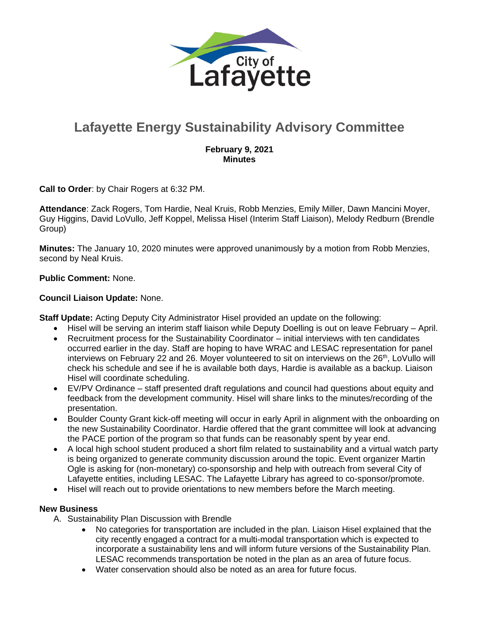

# **Lafayette Energy Sustainability Advisory Committee**

## **February 9, 2021 Minutes**

**Call to Order**: by Chair Rogers at 6:32 PM.

**Attendance**: Zack Rogers, Tom Hardie, Neal Kruis, Robb Menzies, Emily Miller, Dawn Mancini Moyer, Guy Higgins, David LoVullo, Jeff Koppel, Melissa Hisel (Interim Staff Liaison), Melody Redburn (Brendle Group)

**Minutes:** The January 10, 2020 minutes were approved unanimously by a motion from Robb Menzies, second by Neal Kruis.

## **Public Comment:** None.

#### **Council Liaison Update:** None.

**Staff Update:** Acting Deputy City Administrator Hisel provided an update on the following:

- Hisel will be serving an interim staff liaison while Deputy Doelling is out on leave February April.
- Recruitment process for the Sustainability Coordinator initial interviews with ten candidates occurred earlier in the day. Staff are hoping to have WRAC and LESAC representation for panel interviews on February 22 and 26. Moyer volunteered to sit on interviews on the 26<sup>th</sup>, LoVullo will check his schedule and see if he is available both days, Hardie is available as a backup. Liaison Hisel will coordinate scheduling.
- EV/PV Ordinance staff presented draft regulations and council had questions about equity and feedback from the development community. Hisel will share links to the minutes/recording of the presentation.
- Boulder County Grant kick-off meeting will occur in early April in alignment with the onboarding on the new Sustainability Coordinator. Hardie offered that the grant committee will look at advancing the PACE portion of the program so that funds can be reasonably spent by year end.
- A local high school student produced a short film related to sustainability and a virtual watch party is being organized to generate community discussion around the topic. Event organizer Martin Ogle is asking for (non-monetary) co-sponsorship and help with outreach from several City of Lafayette entities, including LESAC. The Lafayette Library has agreed to co-sponsor/promote.
- Hisel will reach out to provide orientations to new members before the March meeting.

## **New Business**

- A. Sustainability Plan Discussion with Brendle
	- No categories for transportation are included in the plan. Liaison Hisel explained that the city recently engaged a contract for a multi-modal transportation which is expected to incorporate a sustainability lens and will inform future versions of the Sustainability Plan. LESAC recommends transportation be noted in the plan as an area of future focus.
	- Water conservation should also be noted as an area for future focus.